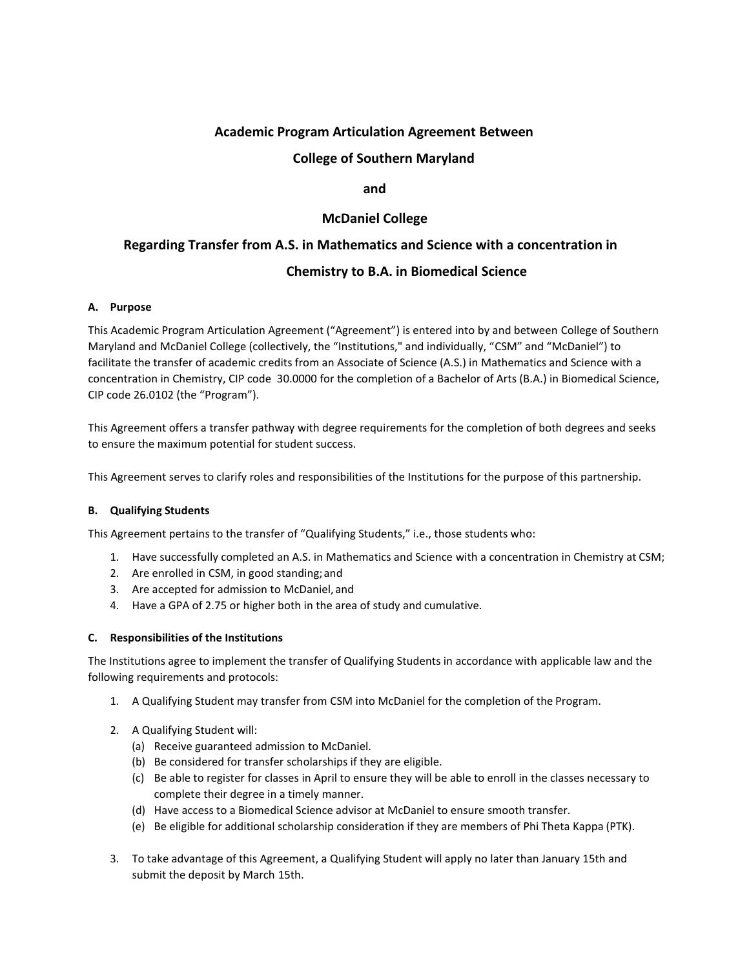# **Academic Program Articulation Agreement Between**

### **College of Southern Maryland**

#### **and**

## **McDaniel College**

# **Regarding Transfer from A.S. in Mathematics and Science with a concentration in**

# **Chemistry to B.A. in Biomedical Science**

#### **A. Purpose**

This Academic Program Articulation Agreement ("Agreement") is entered into by and between College of Southern Maryland and McDaniel College (collectively, the "Institutions," and individually, "CSM" and "McDaniel") to facilitate the transfer of academic credits from an Associate of Science (A.S.) in Mathematics and Science with a concentration in Chemistry, CIP code 30.0000 for the completion of a Bachelor of Arts (B.A.) in Biomedical Science, CIP code 26.0102 (the "Program").

This Agreement offers a transfer pathway with degree requirements for the completion of both degrees and seeks to ensure the maximum potential for student success.

This Agreement serves to clarify roles and responsibilities of the Institutions for the purpose of this partnership.

#### **B. Qualifying Students**

This Agreement pertains to the transfer of "Qualifying Students," i.e., those students who:

- 1. Have successfully completed an A.S. in Mathematics and Science with a concentration in Chemistry at CSM;
- 2. Are enrolled in CSM, in good standing;and
- 3. Are accepted for admission to McDaniel, and
- 4. Have a GPA of 2.75 or higher both in the area of study and cumulative.

#### **C. Responsibilities of the Institutions**

The Institutions agree to implement the transfer of Qualifying Students in accordance with applicable law and the following requirements and protocols:

- 1. A Qualifying Student may transfer from CSM into McDaniel for the completion of the Program.
- 2. A Qualifying Student will:
	- (a) Receive guaranteed admission to McDaniel.
	- (b) Be considered for transfer scholarships if they are eligible.
	- (c) Be able to register for classes in April to ensure they will be able to enroll in the classes necessary to complete their degree in a timely manner.
	- (d) Have access to a Biomedical Science advisor at McDaniel to ensure smooth transfer.
	- (e) Be eligible for additional scholarship consideration if they are members of Phi Theta Kappa (PTK).
- 3. To take advantage of this Agreement, a Qualifying Student will apply no later than January 15th and submit the deposit by March 15th.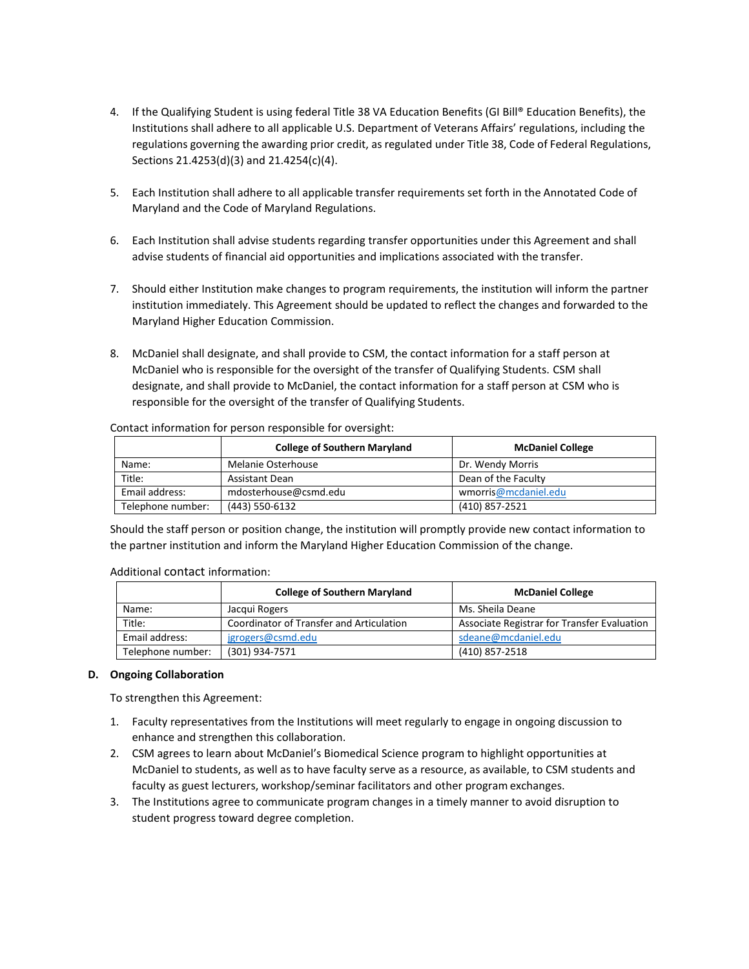- 4. If the Qualifying Student is using federal Title 38 VA Education Benefits (GI Bill® Education Benefits), the Institutions shall adhere to all applicable U.S. Department of Veterans Affairs' regulations, including the regulations governing the awarding prior credit, as regulated under Title 38, Code of Federal Regulations, Sections 21.4253(d)(3) and 21.4254(c)(4).
- 5. Each Institution shall adhere to all applicable transfer requirements set forth in the Annotated Code of Maryland and the Code of Maryland Regulations.
- 6. Each Institution shall advise students regarding transfer opportunities under this Agreement and shall advise students of financial aid opportunities and implications associated with the transfer.
- 7. Should either Institution make changes to program requirements, the institution will inform the partner institution immediately. This Agreement should be updated to reflect the changes and forwarded to the Maryland Higher Education Commission.
- 8. McDaniel shall designate, and shall provide to CSM, the contact information for a staff person at McDaniel who is responsible for the oversight of the transfer of Qualifying Students. CSM shall designate, and shall provide to McDaniel, the contact information for a staff person at CSM who is responsible for the oversight of the transfer of Qualifying Students.

|                   | <b>College of Southern Maryland</b> | <b>McDaniel College</b> |  |
|-------------------|-------------------------------------|-------------------------|--|
| Name:             | Melanie Osterhouse                  | Dr. Wendy Morris        |  |
| Title:            | <b>Assistant Dean</b>               | Dean of the Faculty     |  |
| Email address:    | mdosterhouse@csmd.edu               | wmorris@mcdaniel.edu    |  |
| Telephone number: | (443) 550-6132                      | (410) 857-2521          |  |

Contact information for person responsible for oversight:

Should the staff person or position change, the institution will promptly provide new contact information to the partner institution and inform the Maryland Higher Education Commission of the change.

#### Additional contact information:

|                   | <b>College of Southern Maryland</b>      | <b>McDaniel College</b>                     |  |  |
|-------------------|------------------------------------------|---------------------------------------------|--|--|
| Name:             | Jacqui Rogers                            | Ms. Sheila Deane                            |  |  |
| Title:            | Coordinator of Transfer and Articulation | Associate Registrar for Transfer Evaluation |  |  |
| Email address:    | jgrogers@csmd.edu                        | sdeane@mcdaniel.edu                         |  |  |
| Telephone number: | (301) 934-7571                           | (410) 857-2518                              |  |  |

#### **D. Ongoing Collaboration**

To strengthen this Agreement:

- 1. Faculty representatives from the Institutions will meet regularly to engage in ongoing discussion to enhance and strengthen this collaboration.
- 2. CSM agrees to learn about McDaniel's Biomedical Science program to highlight opportunities at McDaniel to students, as well as to have faculty serve as a resource, as available, to CSM students and faculty as guest lecturers, workshop/seminar facilitators and other program exchanges.
- 3. The Institutions agree to communicate program changes in a timely manner to avoid disruption to student progress toward degree completion.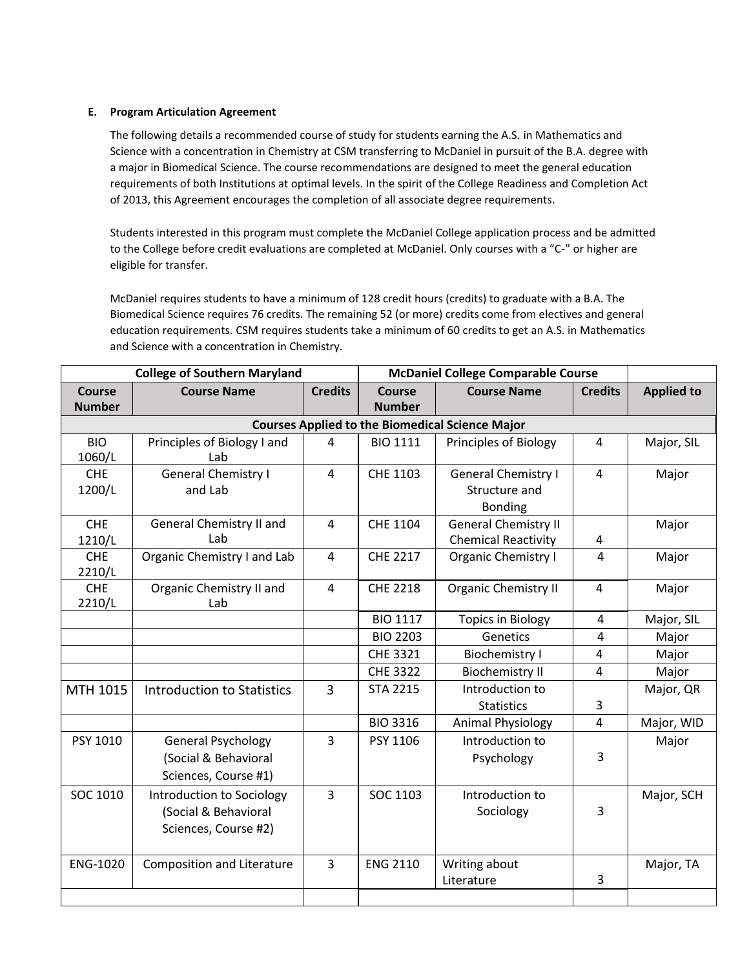#### **E. Program Articulation Agreement**

The following details a recommended course of study for students earning the A.S. in Mathematics and Science with a concentration in Chemistry at CSM transferring to McDaniel in pursuit of the B.A. degree with a major in Biomedical Science. The course recommendations are designed to meet the general education requirements of both Institutions at optimal levels. In the spirit of the College Readiness and Completion Act of 2013, this Agreement encourages the completion of all associate degree requirements.

Students interested in this program must complete the McDaniel College application process and be admitted to the College before credit evaluations are completed at McDaniel. Only courses with a "C-" or higher are eligible for transfer.

McDaniel requires students to have a minimum of 128 credit hours (credits) to graduate with a B.A. The Biomedical Science requires 76 credits. The remaining 52 (or more) credits come from electives and general education requirements. CSM requires students take a minimum of 60 credits to get an A.S. in Mathematics and Science with a concentration in Chemistry.

| <b>College of Southern Maryland</b> |                                                                           |                        | <b>McDaniel College Comparable Course</b> |                                                               |                |                   |
|-------------------------------------|---------------------------------------------------------------------------|------------------------|-------------------------------------------|---------------------------------------------------------------|----------------|-------------------|
| <b>Course</b><br><b>Number</b>      | <b>Course Name</b>                                                        | <b>Credits</b>         | Course<br><b>Number</b>                   | <b>Course Name</b>                                            | <b>Credits</b> | <b>Applied to</b> |
|                                     | <b>Courses Applied to the Biomedical Science Major</b>                    |                        |                                           |                                                               |                |                   |
| <b>BIO</b><br>1060/L                | Principles of Biology I and<br>Lab                                        | 4                      | <b>BIO 1111</b>                           | <b>Principles of Biology</b>                                  | 4              | Major, SIL        |
| <b>CHE</b><br>1200/L                | <b>General Chemistry I</b><br>and Lab                                     | $\overline{4}$         | CHE 1103                                  | <b>General Chemistry I</b><br>Structure and<br><b>Bonding</b> | 4              | Major             |
| <b>CHE</b><br>1210/L                | General Chemistry II and<br>Lab                                           | $\boldsymbol{\Lambda}$ | CHE 1104                                  | <b>General Chemistry II</b><br><b>Chemical Reactivity</b>     | 4              | Major             |
| <b>CHE</b><br>2210/L                | Organic Chemistry I and Lab                                               | $\overline{4}$         | <b>CHE 2217</b>                           | <b>Organic Chemistry I</b>                                    | 4              | Major             |
| <b>CHE</b><br>2210/L                | Organic Chemistry II and<br>Lab                                           | $\overline{4}$         | <b>CHE 2218</b>                           | <b>Organic Chemistry II</b>                                   | $\overline{4}$ | Major             |
|                                     |                                                                           |                        | <b>BIO 1117</b>                           | <b>Topics in Biology</b>                                      | 4              | Major, SIL        |
|                                     |                                                                           |                        | <b>BIO 2203</b>                           | Genetics                                                      | 4              | Major             |
|                                     |                                                                           |                        | CHE 3321                                  | <b>Biochemistry I</b>                                         | 4              | Major             |
|                                     |                                                                           |                        | <b>CHE 3322</b>                           | <b>Biochemistry II</b>                                        | 4              | Major             |
| MTH 1015                            | Introduction to Statistics                                                | $\overline{3}$         | <b>STA 2215</b>                           | Introduction to<br><b>Statistics</b>                          | 3              | Major, QR         |
|                                     |                                                                           |                        | <b>BIO 3316</b>                           | <b>Animal Physiology</b>                                      | $\overline{4}$ | Major, WID        |
| PSY 1010                            | <b>General Psychology</b><br>(Social & Behavioral<br>Sciences, Course #1) | 3                      | PSY 1106                                  | Introduction to<br>Psychology                                 | 3              | Major             |
| SOC 1010                            | Introduction to Sociology<br>(Social & Behavioral<br>Sciences, Course #2) | 3                      | SOC 1103                                  | Introduction to<br>Sociology                                  | 3              | Major, SCH        |
| ENG-1020                            | <b>Composition and Literature</b>                                         | $\overline{3}$         | <b>ENG 2110</b>                           | Writing about<br>Literature                                   | 3              | Major, TA         |
|                                     |                                                                           |                        |                                           |                                                               |                |                   |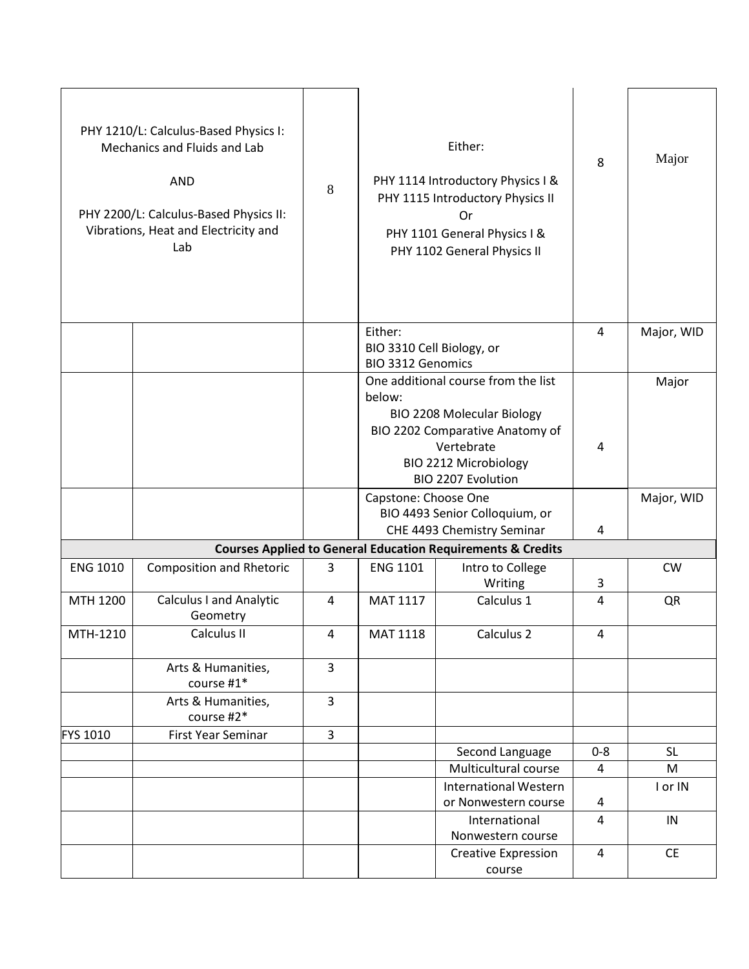|                 | PHY 1210/L: Calculus-Based Physics I:<br>Mechanics and Fluids and Lab<br><b>AND</b><br>PHY 2200/L: Calculus-Based Physics II:<br>Vibrations, Heat and Electricity and<br>Lab | 8              |                                                                  | Either:<br>PHY 1114 Introductory Physics I &<br>PHY 1115 Introductory Physics II<br>Or<br>PHY 1101 General Physics I &<br>PHY 1102 General Physics II                           | 8              | Major      |
|-----------------|------------------------------------------------------------------------------------------------------------------------------------------------------------------------------|----------------|------------------------------------------------------------------|---------------------------------------------------------------------------------------------------------------------------------------------------------------------------------|----------------|------------|
|                 |                                                                                                                                                                              |                | Either:<br>BIO 3310 Cell Biology, or<br><b>BIO 3312 Genomics</b> |                                                                                                                                                                                 | 4              | Major, WID |
|                 |                                                                                                                                                                              |                | below:                                                           | One additional course from the list<br><b>BIO 2208 Molecular Biology</b><br>BIO 2202 Comparative Anatomy of<br>Vertebrate<br>BIO 2212 Microbiology<br><b>BIO 2207 Evolution</b> | 4              | Major      |
|                 |                                                                                                                                                                              |                | Capstone: Choose One                                             | BIO 4493 Senior Colloquium, or<br>CHE 4493 Chemistry Seminar                                                                                                                    | 4              | Major, WID |
|                 |                                                                                                                                                                              |                |                                                                  | <b>Courses Applied to General Education Requirements &amp; Credits</b>                                                                                                          |                |            |
| <b>ENG 1010</b> | <b>Composition and Rhetoric</b>                                                                                                                                              | 3              | <b>ENG 1101</b>                                                  | Intro to College<br>Writing                                                                                                                                                     | 3              | CW         |
| MTH 1200        | Calculus I and Analytic<br>Geometry                                                                                                                                          | $\overline{4}$ | MAT 1117                                                         | Calculus 1                                                                                                                                                                      | $\overline{4}$ | QR         |
| MTH-1210        | Calculus II                                                                                                                                                                  | 4              | MAT 1118                                                         | Calculus 2                                                                                                                                                                      | 4              |            |
|                 | Arts & Humanities,<br>course #1*                                                                                                                                             | $\overline{3}$ |                                                                  |                                                                                                                                                                                 |                |            |
|                 | Arts & Humanities,<br>course #2*                                                                                                                                             | $\overline{3}$ |                                                                  |                                                                                                                                                                                 |                |            |
| <b>FYS 1010</b> | First Year Seminar                                                                                                                                                           | 3              |                                                                  |                                                                                                                                                                                 |                |            |
|                 |                                                                                                                                                                              |                |                                                                  | Second Language                                                                                                                                                                 | $0 - 8$        | <b>SL</b>  |
|                 |                                                                                                                                                                              |                |                                                                  | Multicultural course                                                                                                                                                            | 4              | M          |
|                 |                                                                                                                                                                              |                |                                                                  | <b>International Western</b><br>or Nonwestern course                                                                                                                            | 4              | I or IN    |
|                 |                                                                                                                                                                              |                |                                                                  | International<br>Nonwestern course                                                                                                                                              | 4              | IN         |
|                 |                                                                                                                                                                              |                |                                                                  | <b>Creative Expression</b><br>course                                                                                                                                            | 4              | <b>CE</b>  |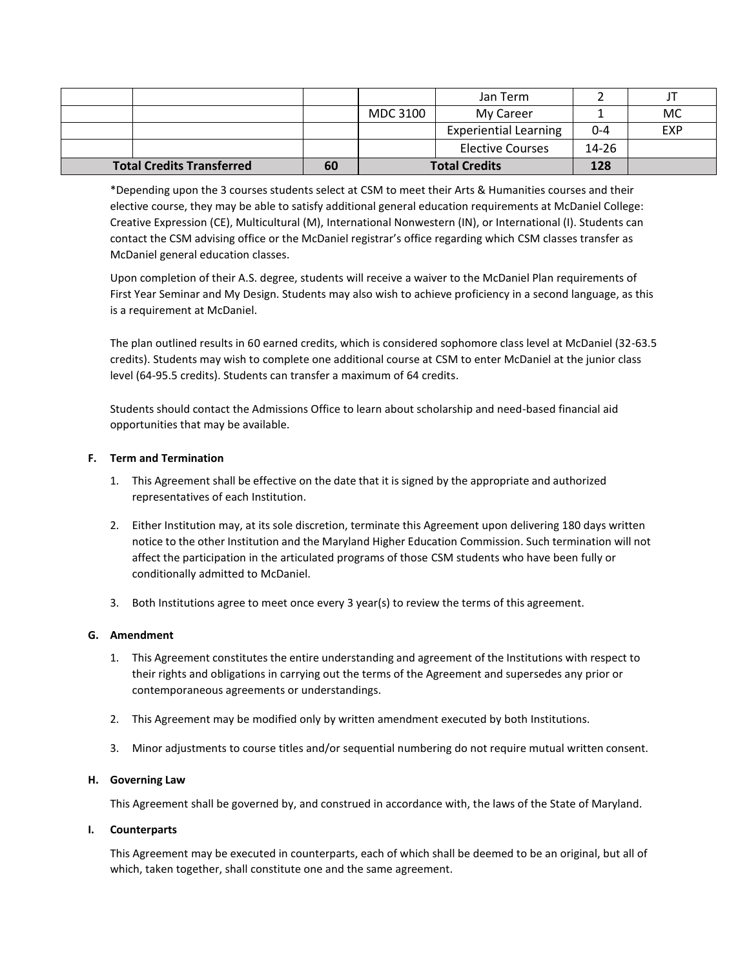|                                        |  |          | Jan Term                     |           |            |
|----------------------------------------|--|----------|------------------------------|-----------|------------|
|                                        |  | MDC 3100 | My Career                    |           | <b>MC</b>  |
|                                        |  |          | <b>Experiential Learning</b> | 0-4       | <b>EXP</b> |
|                                        |  |          | Elective Courses             | $14 - 26$ |            |
| <b>Total Credits Transferred</b><br>60 |  |          | <b>Total Credits</b>         | 128       |            |

\*Depending upon the 3 courses students select at CSM to meet their Arts & Humanities courses and their elective course, they may be able to satisfy additional general education requirements at McDaniel College: Creative Expression (CE), Multicultural (M), International Nonwestern (IN), or International (I). Students can contact the CSM advising office or the McDaniel registrar's office regarding which CSM classes transfer as McDaniel general education classes.

Upon completion of their A.S. degree, students will receive a waiver to the McDaniel Plan requirements of First Year Seminar and My Design. Students may also wish to achieve proficiency in a second language, as this is a requirement at McDaniel.

The plan outlined results in 60 earned credits, which is considered sophomore class level at McDaniel (32-63.5 credits). Students may wish to complete one additional course at CSM to enter McDaniel at the junior class level (64-95.5 credits). Students can transfer a maximum of 64 credits.

Students should contact the Admissions Office to learn about scholarship and need-based financial aid opportunities that may be available.

#### **F. Term and Termination**

- 1. This Agreement shall be effective on the date that it is signed by the appropriate and authorized representatives of each Institution.
- 2. Either Institution may, at its sole discretion, terminate this Agreement upon delivering 180 days written notice to the other Institution and the Maryland Higher Education Commission. Such termination will not affect the participation in the articulated programs of those CSM students who have been fully or conditionally admitted to McDaniel.
- 3. Both Institutions agree to meet once every 3 year(s) to review the terms of this agreement.

#### **G. Amendment**

- 1. This Agreement constitutes the entire understanding and agreement of the Institutions with respect to their rights and obligations in carrying out the terms of the Agreement and supersedes any prior or contemporaneous agreements or understandings.
- 2. This Agreement may be modified only by written amendment executed by both Institutions.
- 3. Minor adjustments to course titles and/or sequential numbering do not require mutual written consent.

#### **H. Governing Law**

This Agreement shall be governed by, and construed in accordance with, the laws of the State of Maryland.

#### **I. Counterparts**

This Agreement may be executed in counterparts, each of which shall be deemed to be an original, but all of which, taken together, shall constitute one and the same agreement.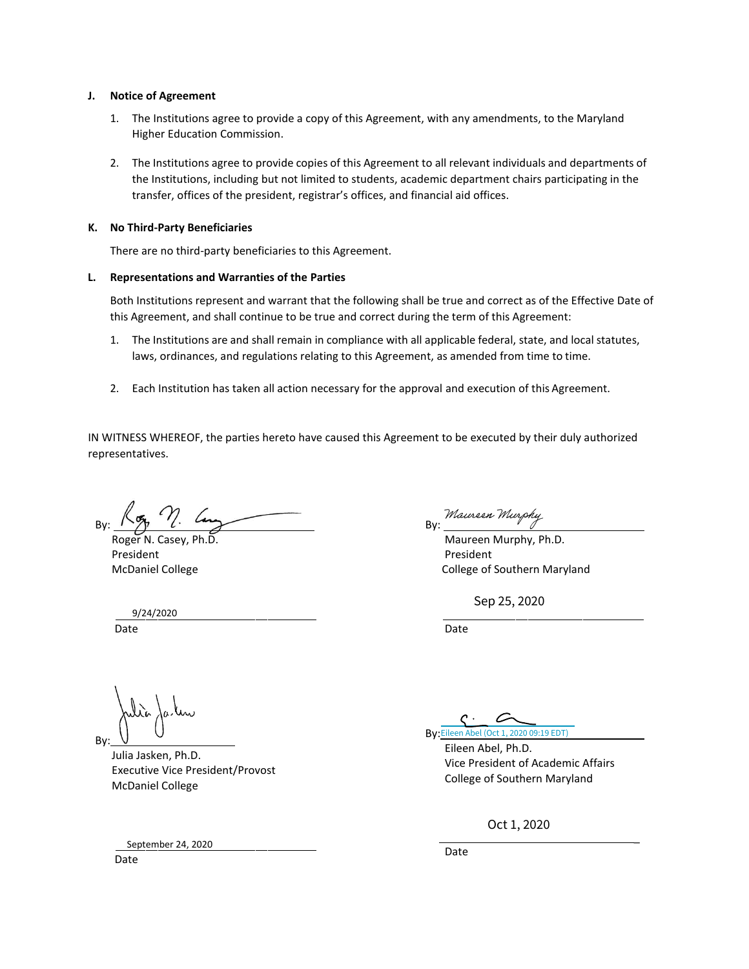#### **J. Notice of Agreement**

- 1. The Institutions agree to provide a copy of this Agreement, with any amendments, to the Maryland Higher Education Commission.
- 2. The Institutions agree to provide copies of this Agreement to all relevant individuals and departments of the Institutions, including but not limited to students, academic department chairs participating in the transfer, offices of the president, registrar's offices, and financial aid offices.

#### **K. No Third-Party Beneficiaries**

There are no third-party beneficiaries to this Agreement.

#### **L. Representations and Warranties of the Parties**

Both Institutions represent and warrant that the following shall be true and correct as of the Effective Date of this Agreement, and shall continue to be true and correct during the term of this Agreement:

- 1. The Institutions are and shall remain in compliance with all applicable federal, state, and local statutes, laws, ordinances, and regulations relating to this Agreement, as amended from time to time.
- 2. Each Institution has taken all action necessary for the approval and execution of this Agreement.

IN WITNESS WHEREOF, the parties hereto have caused this Agreement to be executed by their duly authorized representatives.

By:

Roger N. Casey, Ph.D. President McDaniel College

 9/24/2020 Date

By: Maureen Murphy

Maureen Murphy, Ph.D. President College of Southern Maryland

Sep 25, 2020

Date

rilia, By:

 Julia Jasken, Ph.D. Executive Vice President/Provost McDaniel College

September 24, 2020

By: [Eileen Abel \(Oct 1, 2020 09:19 EDT\)](https://na2.documents.adobe.com/verifier?tx=CBJCHBCAABAAdp0MwbgALk81LYg_TRSatdTMqJWzQ3DG)

Eileen Abel, Ph.D. Vice President of Academic Affairs College of Southern Maryland

\_

Oct 1, 2020

Date

Date